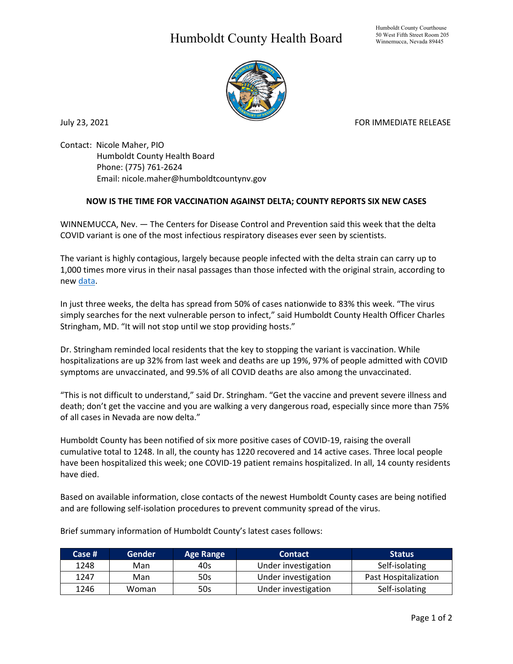## Humboldt County Health Board



July 23, 2021 **FOR IMMEDIATE RELEASE** 

Contact: Nicole Maher, PIO Humboldt County Health Board Phone: (775) 761-2624 Email: nicole.maher@humboldtcountynv.gov

## **NOW IS THE TIME FOR VACCINATION AGAINST DELTA; COUNTY REPORTS SIX NEW CASES**

WINNEMUCCA, Nev. — The Centers for Disease Control and Prevention said this week that the delta COVID variant is one of the most infectious respiratory diseases ever seen by scientists.

The variant is highly contagious, largely because people infected with the delta strain can carry up to 1,000 times more virus in their nasal passages than those infected with the original strain, according to ne[w data.](https://virological.org/t/viral-infection-and-transmission-in-a-large-well-traced-outbreak-caused-by-the-delta-sars-cov-2-variant/724)

In just three weeks, the delta has spread from 50% of cases nationwide to 83% this week. "The virus simply searches for the next vulnerable person to infect," said Humboldt County Health Officer Charles Stringham, MD. "It will not stop until we stop providing hosts."

Dr. Stringham reminded local residents that the key to stopping the variant is vaccination. While hospitalizations are up 32% from last week and deaths are up 19%, 97% of people admitted with COVID symptoms are unvaccinated, and 99.5% of all COVID deaths are also among the unvaccinated.

"This is not difficult to understand," said Dr. Stringham. "Get the vaccine and prevent severe illness and death; don't get the vaccine and you are walking a very dangerous road, especially since more than 75% of all cases in Nevada are now delta."

Humboldt County has been notified of six more positive cases of COVID-19, raising the overall cumulative total to 1248. In all, the county has 1220 recovered and 14 active cases. Three local people have been hospitalized this week; one COVID-19 patient remains hospitalized. In all, 14 county residents have died.

Based on available information, close contacts of the newest Humboldt County cases are being notified and are following self-isolation procedures to prevent community spread of the virus.

| Case # | 'Gender | <b>Age Range</b> | <b>Contact</b>      | <b>Status</b>        |
|--------|---------|------------------|---------------------|----------------------|
| 1248   | Man     | 40s              | Under investigation | Self-isolating       |
| 1247   | Man     | 50s              | Under investigation | Past Hospitalization |
| 1246   | Woman   | 50s              | Under investigation | Self-isolating       |

Brief summary information of Humboldt County's latest cases follows: